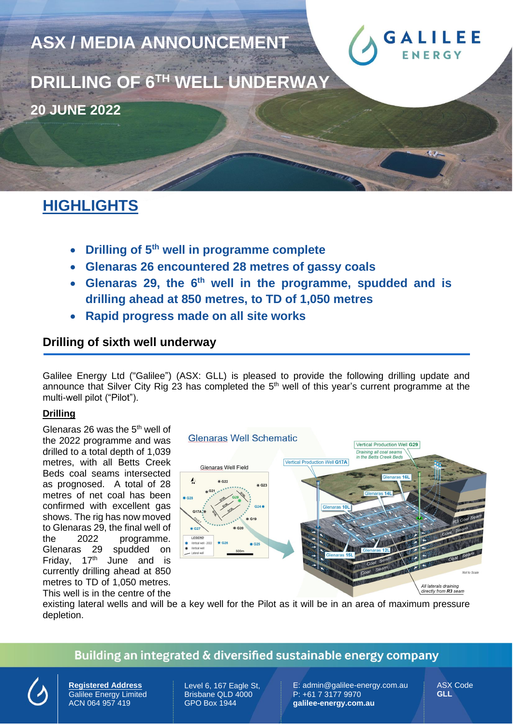

# **HIGHLIGHTS**

- **Drilling of 5 th well in programme complete**
- **Glenaras 26 encountered 28 metres of gassy coals**
- **Glenaras 29, the 6 th well in the programme, spudded and is drilling ahead at 850 metres, to TD of 1,050 metres**
- **Rapid progress made on all site works**

## **Drilling of sixth well underway**

Galilee Energy Ltd ("Galilee") (ASX: GLL) is pleased to provide the following drilling update and announce that Silver City Rig 23 has completed the 5<sup>th</sup> well of this year's current programme at the multi-well pilot ("Pilot").

#### **Drilling**

Glenaras 26 was the 5<sup>th</sup> well of the 2022 programme and was drilled to a total depth of 1,039 metres, with all Betts Creek Beds coal seams intersected as prognosed. A total of 28 metres of net coal has been confirmed with excellent gas shows. The rig has now moved to Glenaras 29, the final well of the 2022 programme. Glenaras 29 spudded on Friday,  $17<sup>th</sup>$  June and is currently drilling ahead at 850 metres to TD of 1,050 metres. This well is in the centre of the



existing lateral wells and will be a key well for the Pilot as it will be in an area of maximum pressure depletion.

### Building an integrated & diversified sustainable energy company



**Registered Address** Galilee Energy Limited ACN 064 957 419

Level 6, 167 Eagle St, Brisbane QLD 4000 GPO Box 1944

E: admin@galilee-energy.com.au P: +61 7 3177 9970 **galilee-energy.com.au**

ASX Code **GLL**